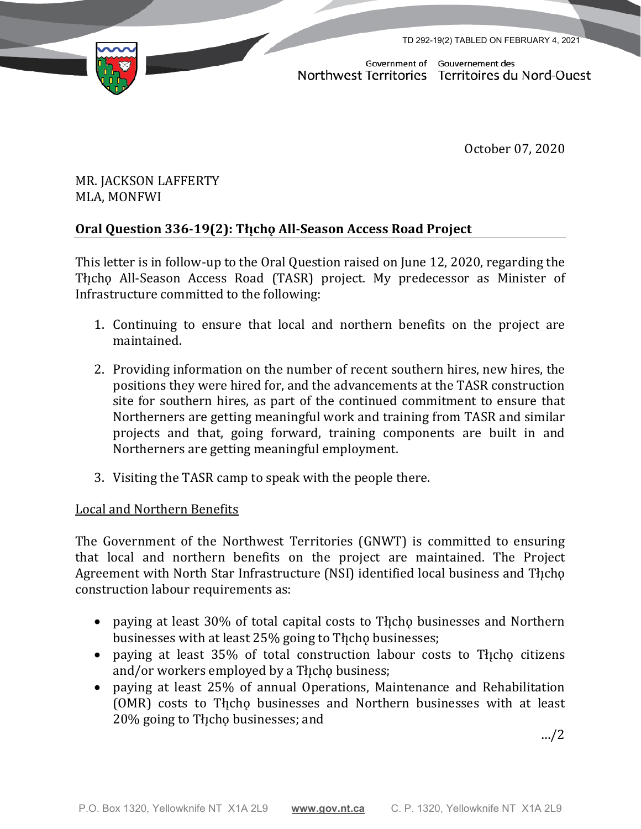TD 292-19(2) TABLED ON FEBRUARY 4, 2021



Government of Gouvernement des Northwest Territories Territoires du Nord-Ouest

October 07, 2020

## MR. JACKSON LAFFERTY MLA, MONFWI

# **Oral Question 336-19(2): Tłı̨chǫ All-Season Access Road Project**

This letter is in follow-up to the Oral Question raised on June 12, 2020, regarding the Tłįcho All-Season Access Road (TASR) project. My predecessor as Minister of Infrastructure committed to the following:

- 1. Continuing to ensure that local and northern benefits on the project are maintained.
- 2. Providing information on the number of recent southern hires, new hires, the positions they were hired for, and the advancements at the TASR construction site for southern hires, as part of the continued commitment to ensure that Northerners are getting meaningful work and training from TASR and similar projects and that, going forward, training components are built in and Northerners are getting meaningful employment.
- 3. Visiting the TASR camp to speak with the people there.

### Local and Northern Benefits

The Government of the Northwest Territories (GNWT) is committed to ensuring that local and northern benefits on the project are maintained. The Project Agreement with North Star Infrastructure (NSI) identified local business and Tłįcho construction labour requirements as:

- paying at least 30% of total capital costs to The holds businesses and Northern businesses with at least 25% going to The businesses;
- paying at least 35% of total construction labour costs to The citizens and/or workers employed by a Theop business;
- paying at least 25% of annual Operations, Maintenance and Rehabilitation (OMR) costs to Theo businesses and Northern businesses with at least 20% going to Tłı̨chǫ businesses; and

…/2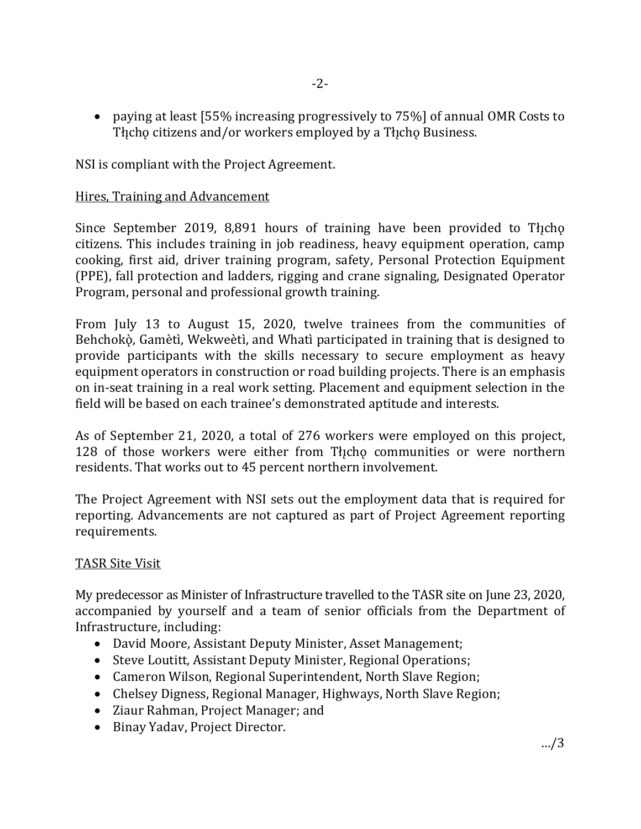• paying at least [55% increasing progressively to 75%] of annual OMR Costs to The citizens and/or workers employed by a The ho Business.

NSI is compliant with the Project Agreement.

#### Hires, Training and Advancement

Since September 2019, 8,891 hours of training have been provided to The Cho citizens. This includes training in job readiness, heavy equipment operation, camp cooking, first aid, driver training program, safety, Personal Protection Equipment (PPE), fall protection and ladders, rigging and crane signaling, Designated Operator Program, personal and professional growth training.

From July 13 to August 15, 2020, twelve trainees from the communities of Behchokò, Gamètì, Wekweètì, and Whatì participated in training that is designed to provide participants with the skills necessary to secure employment as heavy equipment operators in construction or road building projects. There is an emphasis on in-seat training in a real work setting. Placement and equipment selection in the field will be based on each trainee's demonstrated aptitude and interests.

As of September 21, 2020, a total of 276 workers were employed on this project, 128 of those workers were either from Thcho communities or were northern residents. That works out to 45 percent northern involvement.

The Project Agreement with NSI sets out the employment data that is required for reporting. Advancements are not captured as part of Project Agreement reporting requirements.

### TASR Site Visit

My predecessor as Minister of Infrastructure travelled to the TASR site on June 23, 2020, accompanied by yourself and a team of senior officials from the Department of Infrastructure, including:

- David Moore, Assistant Deputy Minister, Asset Management;
- Steve Loutitt, Assistant Deputy Minister, Regional Operations;
- Cameron Wilson, Regional Superintendent, North Slave Region;
- Chelsey Digness, Regional Manager, Highways, North Slave Region;
- Ziaur Rahman, Project Manager; and
- Binay Yadav, Project Director.